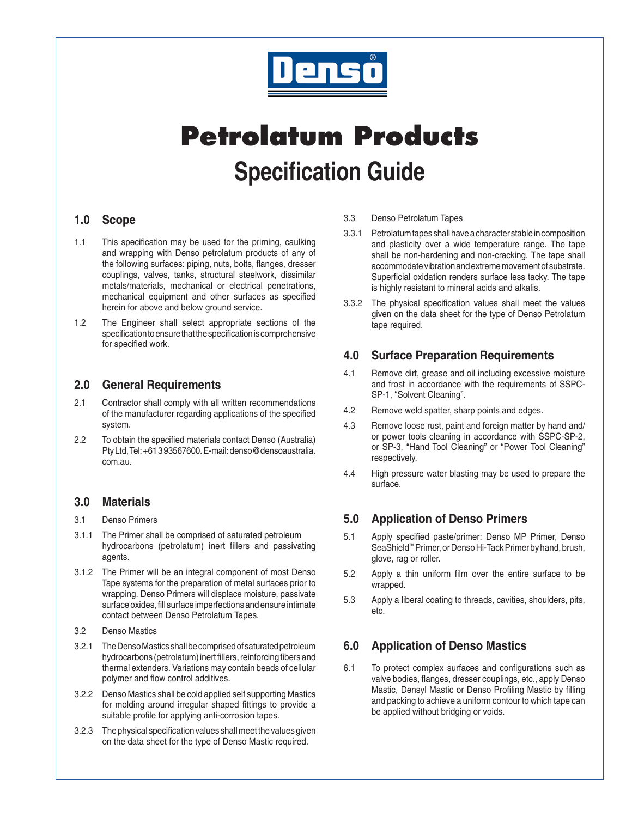

# **Petrolatum Products Specification Guide**

### **1.0 Scope**

- 1.1 This specification may be used for the priming, caulking and wrapping with Denso petrolatum products of any of the following surfaces: piping, nuts, bolts, flanges, dresser couplings, valves, tanks, structural steelwork, dissimilar metals/materials, mechanical or electrical penetrations, mechanical equipment and other surfaces as specified herein for above and below ground service.
- 1.2 The Engineer shall select appropriate sections of the specificationtoensurethatthespecificationiscomprehensive for specified work.

### **2.0 General Requirements**

- 2.1 Contractor shall comply with all written recommendations of the manufacturer regarding applications of the specified system.
- 2.2 To obtain the specified materials contact Denso (Australia) PtyLtd,Tel:+61393567600.E-mail:denso@densoaustralia. com.au.

## **3.0 Materials**

- 3.1 Denso Primers
- 3.1.1 The Primer shall be comprised of saturated petroleum hydrocarbons (petrolatum) inert fillers and passivating agents.
- 3.1.2 The Primer will be an integral component of most Denso Tape systems for the preparation of metal surfaces prior to wrapping. Denso Primers will displace moisture, passivate surface oxides, fill surface imperfections and ensure intimate contact between Denso Petrolatum Tapes.
- 3.2 Denso Mastics
- 3.2.1 The Denso Mastics shall be comprised of saturated petroleum hydrocarbons (petrolatum) inert fillers, reinforcing fibers and thermal extenders. Variations may contain beads of cellular polymer and flow control additives.
- 3.2.2 Denso Mastics shall be cold applied self supporting Mastics for molding around irregular shaped fittings to provide a suitable profile for applying anti-corrosion tapes.
- 3.2.3 The physical specification values shall meet the values given on the data sheet for the type of Denso Mastic required.
- 3.3 Denso Petrolatum Tapes
- 3.3.1 Petrolatumtapesshallhaveacharacterstableincomposition and plasticity over a wide temperature range. The tape shall be non-hardening and non-cracking. The tape shall accommodate vibration and extreme movement of substrate. Superficial oxidation renders surface less tacky. The tape is highly resistant to mineral acids and alkalis.
- 3.3.2 The physical specification values shall meet the values given on the data sheet for the type of Denso Petrolatum tape required.

## **4.0 Surface Preparation Requirements**

- 4.1 Remove dirt, grease and oil including excessive moisture and frost in accordance with the requirements of SSPC-SP-1, "Solvent Cleaning".
- 4.2 Remove weld spatter, sharp points and edges.
- 4.3 Remove loose rust, paint and foreign matter by hand and/ or power tools cleaning in accordance with SSPC-SP-2, or SP-3, "Hand Tool Cleaning" or "Power Tool Cleaning" respectively.
- 4.4 High pressure water blasting may be used to prepare the surface.

## **5.0 Application of Denso Primers**

- 5.1 Apply specified paste/primer: Denso MP Primer, Denso SeaShield™ Primer, or Denso Hi-Tack Primer by hand, brush, glove, rag or roller.
- 5.2 Apply a thin uniform film over the entire surface to be wrapped.
- 5.3 Apply a liberal coating to threads, cavities, shoulders, pits, etc.

## **6.0 Application of Denso Mastics**

6.1 To protect complex surfaces and configurations such as valve bodies, flanges, dresser couplings, etc., apply Denso Mastic, Densyl Mastic or Denso Profiling Mastic by filling and packing to achieve a uniform contour to which tape can be applied without bridging or voids.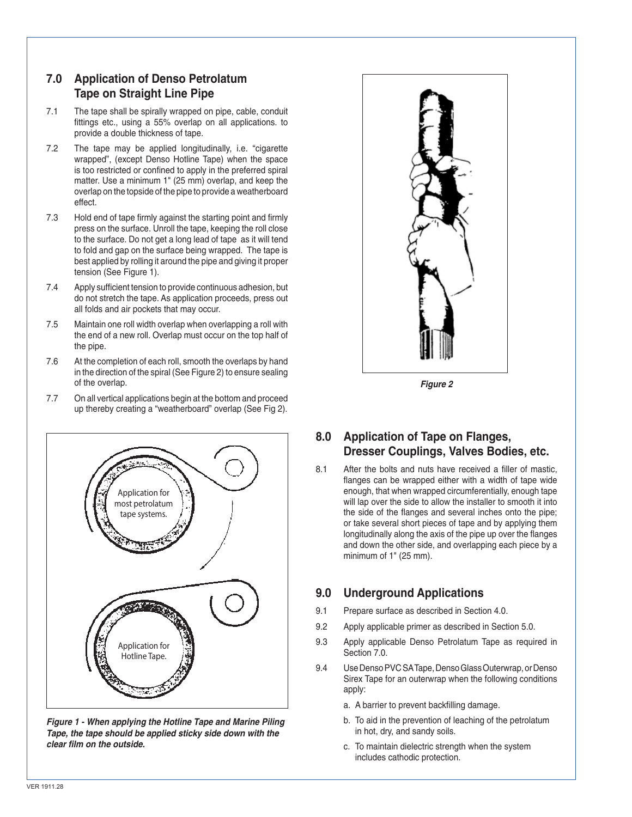## **7.0 Application of Denso Petrolatum Tape on Straight Line Pipe**

- 7.1 The tape shall be spirally wrapped on pipe, cable, conduit fittings etc., using a 55% overlap on all applications. to provide a double thickness of tape.
- 7.2 The tape may be applied longitudinally, i.e. "cigarette wrapped", (except Denso Hotline Tape) when the space is too restricted or confined to apply in the preferred spiral matter. Use a minimum 1" (25 mm) overlap, and keep the overlap on the topside of the pipe to provide a weatherboard effect.
- 7.3 Hold end of tape firmly against the starting point and firmly press on the surface. Unroll the tape, keeping the roll close to the surface. Do not get a long lead of tape as it will tend to fold and gap on the surface being wrapped. The tape is best applied by rolling it around the pipe and giving it proper tension (See Figure 1).
- 7.4 Apply sufficient tension to provide continuous adhesion, but do not stretch the tape. As application proceeds, press out all folds and air pockets that may occur.
- 7.5 Maintain one roll width overlap when overlapping a roll with the end of a new roll. Overlap must occur on the top half of the pipe.
- 7.6 At the completion of each roll, smooth the overlaps by hand in the direction of the spiral (See Figure 2) to ensure sealing of the overlap.
- 7.7 On all vertical applications begin at the bottom and proceed up thereby creating a "weatherboard" overlap (See Fig 2).



**Figure 1 - When applying the Hotline Tape and Marine Piling Tape, the tape should be applied sticky side down with the clear film on the outside.**



**Figure 2**

## **8.0 Application of Tape on Flanges, Dresser Couplings, Valves Bodies, etc.**

8.1 After the bolts and nuts have received a filler of mastic, flanges can be wrapped either with a width of tape wide enough, that when wrapped circumferentially, enough tape will lap over the side to allow the installer to smooth it into the side of the flanges and several inches onto the pipe; or take several short pieces of tape and by applying them longitudinally along the axis of the pipe up over the flanges and down the other side, and overlapping each piece by a minimum of 1" (25 mm).

## **9.0 Underground Applications**

- 9.1 Prepare surface as described in Section 4.0.
- 9.2 Apply applicable primer as described in Section 5.0.
- 9.3 Apply applicable Denso Petrolatum Tape as required in Section 7.0.
- 9.4 Use Denso PVC SA Tape, Denso Glass Outerwrap, or Denso Sirex Tape for an outerwrap when the following conditions apply:
	- a. A barrier to prevent backfilling damage.
	- b. To aid in the prevention of leaching of the petrolatum in hot, dry, and sandy soils.
	- c. To maintain dielectric strength when the system includes cathodic protection.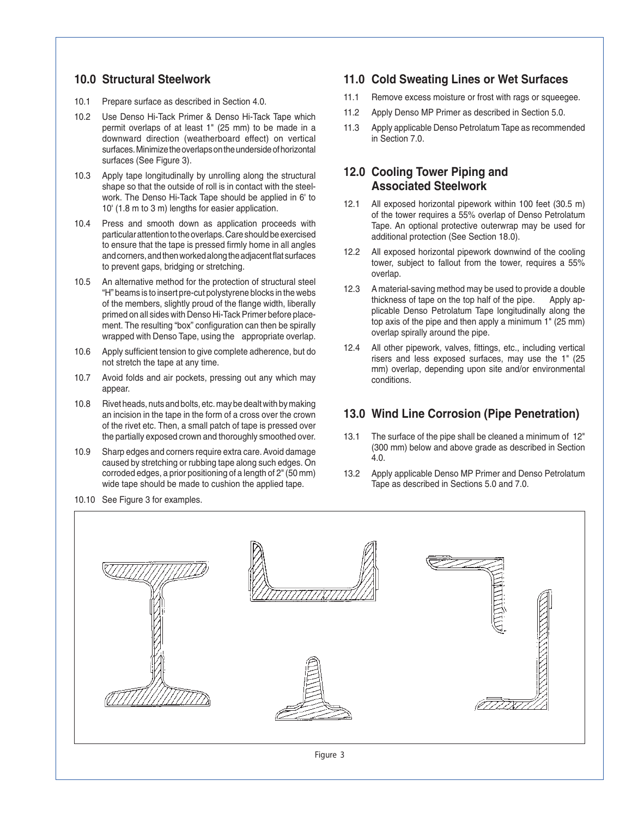#### **10.0 Structural Steelwork**

- 10.1 Prepare surface as described in Section 4.0.
- 10.2 Use Denso Hi-Tack Primer & Denso Hi-Tack Tape which permit overlaps of at least 1" (25 mm) to be made in a downward direction (weatherboard effect) on vertical surfaces. Minimize the overlaps on the underside of horizontal surfaces (See Figure 3).
- 10.3 Apply tape longitudinally by unrolling along the structural shape so that the outside of roll is in contact with the steelwork. The Denso Hi-Tack Tape should be applied in 6' to 10' (1.8 m to 3 m) lengths for easier application.
- 10.4 Press and smooth down as application proceeds with particular attention to the overlaps. Care should be exercised to ensure that the tape is pressed firmly home in all angles and corners, and then worked along the adjacent flat surfaces to prevent gaps, bridging or stretching.
- 10.5 An alternative method for the protection of structural steel "H" beams is to insert pre-cut polystyrene blocks in the webs of the members, slightly proud of the flange width, liberally primed on all sides with Denso Hi-Tack Primer before placement. The resulting "box" configuration can then be spirally wrapped with Denso Tape, using the appropriate overlap.
- 10.6 Apply sufficient tension to give complete adherence, but do not stretch the tape at any time.
- 10.7 Avoid folds and air pockets, pressing out any which may appear.
- 10.8 Rivet heads, nuts and bolts, etc. may be dealt with by making an incision in the tape in the form of a cross over the crown of the rivet etc. Then, a small patch of tape is pressed over the partially exposed crown and thoroughly smoothed over.
- 10.9 Sharp edges and corners require extra care.Avoid damage caused by stretching or rubbing tape along such edges. On corroded edges, a prior positioning of a length of 2" (50 mm) wide tape should be made to cushion the applied tape.
- 10.10 See Figure 3 for examples.

#### **11.0 Cold Sweating Lines or Wet Surfaces**

- 11.1 Remove excess moisture or frost with rags or squeegee.
- 11.2 Apply Denso MP Primer as described in Section 5.0.
- 11.3 Apply applicable Denso Petrolatum Tape as recommended in Section 7.0.

#### **12.0 Cooling Tower Piping and Associated Steelwork**

- 12.1 All exposed horizontal pipework within 100 feet (30.5 m) of the tower requires a 55% overlap of Denso Petrolatum Tape. An optional protective outerwrap may be used for additional protection (See Section 18.0).
- 12.2 All exposed horizontal pipework downwind of the cooling tower, subject to fallout from the tower, requires a 55% overlap.
- 12.3 A material-saving method may be used to provide a double thickness of tape on the top half of the pipe. Apply applicable Denso Petrolatum Tape longitudinally along the top axis of the pipe and then apply a minimum 1" (25 mm) overlap spirally around the pipe.
- 12.4 All other pipework, valves, fittings, etc., including vertical risers and less exposed surfaces, may use the 1" (25 mm) overlap, depending upon site and/or environmental conditions.

#### **13.0 Wind Line Corrosion (Pipe Penetration)**

- 13.1 The surface of the pipe shall be cleaned a minimum of 12" (300 mm) below and above grade as described in Section 4.0.
- 13.2 Apply applicable Denso MP Primer and Denso Petrolatum Tape as described in Sections 5.0 and 7.0.